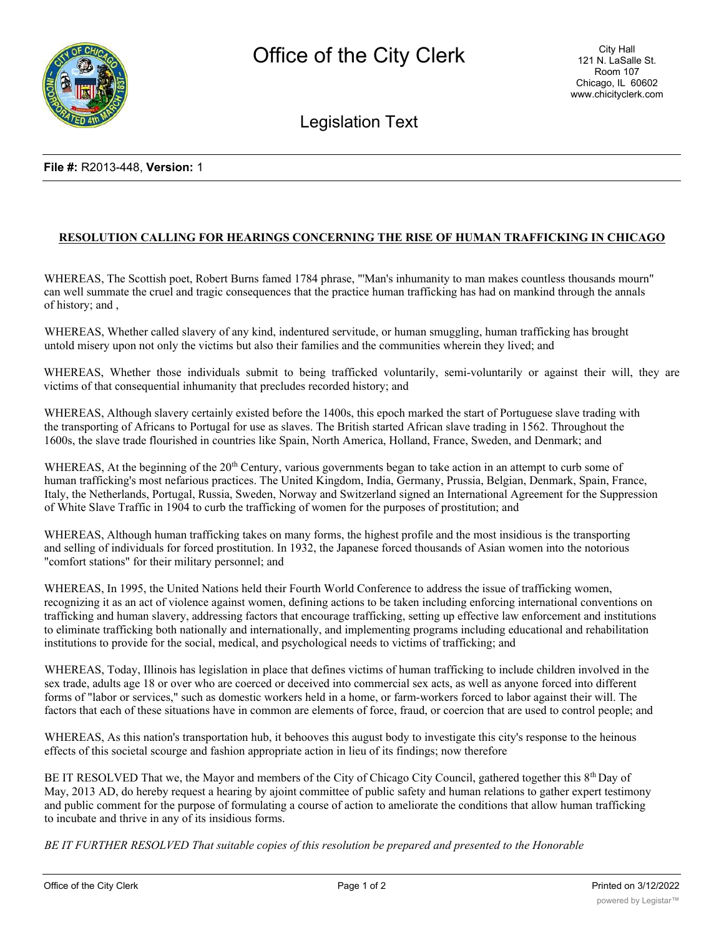

## Legislation Text

## **File #:** R2013-448, **Version:** 1

## **RESOLUTION CALLING FOR HEARINGS CONCERNING THE RISE OF HUMAN TRAFFICKING IN CHICAGO**

WHEREAS, The Scottish poet, Robert Burns famed 1784 phrase, "'Man's inhumanity to man makes countless thousands mourn" can well summate the cruel and tragic consequences that the practice human trafficking has had on mankind through the annals of history; and ,

WHEREAS, Whether called slavery of any kind, indentured servitude, or human smuggling, human trafficking has brought untold misery upon not only the victims but also their families and the communities wherein they lived; and

WHEREAS, Whether those individuals submit to being trafficked voluntarily, semi-voluntarily or against their will, they are victims of that consequential inhumanity that precludes recorded history; and

WHEREAS, Although slavery certainly existed before the 1400s, this epoch marked the start of Portuguese slave trading with the transporting of Africans to Portugal for use as slaves. The British started African slave trading in 1562. Throughout the 1600s, the slave trade flourished in countries like Spain, North America, Holland, France, Sweden, and Denmark; and

WHEREAS, At the beginning of the 20<sup>th</sup> Century, various governments began to take action in an attempt to curb some of human trafficking's most nefarious practices. The United Kingdom, India, Germany, Prussia, Belgian, Denmark, Spain, France, Italy, the Netherlands, Portugal, Russia, Sweden, Norway and Switzerland signed an International Agreement for the Suppression of White Slave Traffic in 1904 to curb the trafficking of women for the purposes of prostitution; and

WHEREAS, Although human trafficking takes on many forms, the highest profile and the most insidious is the transporting and selling of individuals for forced prostitution. In 1932, the Japanese forced thousands of Asian women into the notorious "comfort stations" for their military personnel; and

WHEREAS, In 1995, the United Nations held their Fourth World Conference to address the issue of trafficking women, recognizing it as an act of violence against women, defining actions to be taken including enforcing international conventions on trafficking and human slavery, addressing factors that encourage trafficking, setting up effective law enforcement and institutions to eliminate trafficking both nationally and internationally, and implementing programs including educational and rehabilitation institutions to provide for the social, medical, and psychological needs to victims of trafficking; and

WHEREAS, Today, Illinois has legislation in place that defines victims of human trafficking to include children involved in the sex trade, adults age 18 or over who are coerced or deceived into commercial sex acts, as well as anyone forced into different forms of "labor or services," such as domestic workers held in a home, or farm-workers forced to labor against their will. The factors that each of these situations have in common are elements of force, fraud, or coercion that are used to control people; and

WHEREAS, As this nation's transportation hub, it behooves this august body to investigate this city's response to the heinous effects of this societal scourge and fashion appropriate action in lieu of its findings; now therefore

BE IT RESOLVED That we, the Mayor and members of the City of Chicago City Council, gathered together this  $8<sup>th</sup>$  Day of May, 2013 AD, do hereby request a hearing by ajoint committee of public safety and human relations to gather expert testimony and public comment for the purpose of formulating a course of action to ameliorate the conditions that allow human trafficking to incubate and thrive in any of its insidious forms.

*BE IT FURTHER RESOLVED That suitable copies of this resolution be prepared and presented to the Honorable*